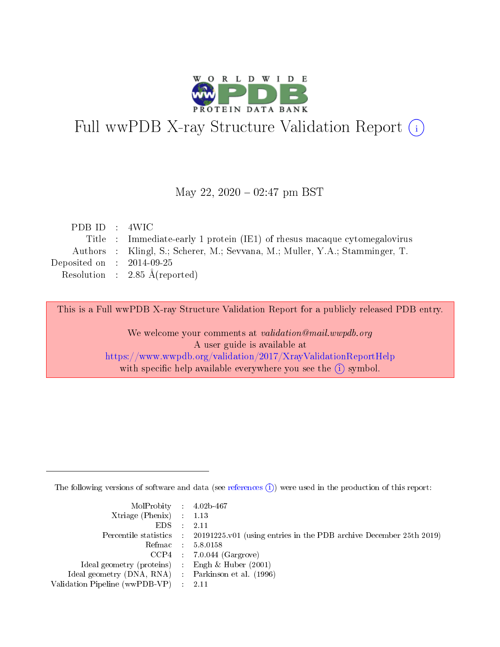

# Full wwPDB X-ray Structure Validation Report (i)

#### May 22,  $2020 - 02:47$  pm BST

| PDB ID : 4WIC               |                                                                              |
|-----------------------------|------------------------------------------------------------------------------|
|                             | Title : Immediate-early 1 protein (IE1) of rhesus macaque cytomegalovirus    |
|                             | Authors : Klingl, S.; Scherer, M.; Sevvana, M.; Muller, Y.A.; Stamminger, T. |
| Deposited on : $2014-09-25$ |                                                                              |
|                             | Resolution : $2.85 \text{ Å}$ (reported)                                     |
|                             |                                                                              |

This is a Full wwPDB X-ray Structure Validation Report for a publicly released PDB entry.

We welcome your comments at validation@mail.wwpdb.org A user guide is available at <https://www.wwpdb.org/validation/2017/XrayValidationReportHelp> with specific help available everywhere you see the  $(i)$  symbol.

The following versions of software and data (see [references](https://www.wwpdb.org/validation/2017/XrayValidationReportHelp#references)  $(i)$ ) were used in the production of this report:

| MolProbity : $4.02b-467$                            |                                                                                            |
|-----------------------------------------------------|--------------------------------------------------------------------------------------------|
| Xtriage (Phenix) $: 1.13$                           |                                                                                            |
| EDS -                                               | 2.11                                                                                       |
|                                                     | Percentile statistics : 20191225.v01 (using entries in the PDB archive December 25th 2019) |
|                                                     | Refmac 58.0158                                                                             |
|                                                     | $CCP4$ 7.0.044 (Gargrove)                                                                  |
| Ideal geometry (proteins) : Engh $\&$ Huber (2001)  |                                                                                            |
| Ideal geometry (DNA, RNA) : Parkinson et al. (1996) |                                                                                            |
| Validation Pipeline (wwPDB-VP)                      | -2.11                                                                                      |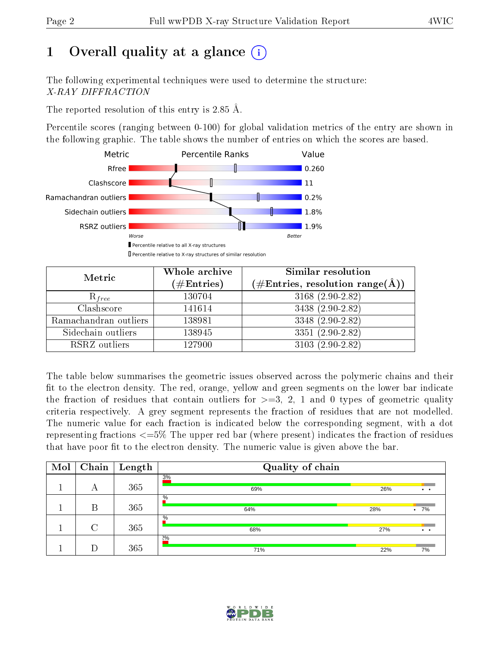# 1 [O](https://www.wwpdb.org/validation/2017/XrayValidationReportHelp#overall_quality)verall quality at a glance  $(i)$

The following experimental techniques were used to determine the structure: X-RAY DIFFRACTION

The reported resolution of this entry is 2.85 Å.

Percentile scores (ranging between 0-100) for global validation metrics of the entry are shown in the following graphic. The table shows the number of entries on which the scores are based.



| Metric                | Whole archive<br>$(\#\mathrm{Entries})$ | Similar resolution<br>$(\#\text{Entries},\,\text{resolution}\,\,\text{range}(\textup{\AA}))$ |
|-----------------------|-----------------------------------------|----------------------------------------------------------------------------------------------|
| $R_{free}$            | 130704                                  | 3168 (2.90-2.82)                                                                             |
| Clashscore            | 141614                                  | 3438 (2.90-2.82)                                                                             |
| Ramachandran outliers | 138981                                  | $3348(2.90-2.82)$                                                                            |
| Sidechain outliers    | 138945                                  | 3351 (2.90-2.82)                                                                             |
| RSRZ outliers         | 127900                                  | $3103(2.90-2.82)$                                                                            |

The table below summarises the geometric issues observed across the polymeric chains and their fit to the electron density. The red, orange, yellow and green segments on the lower bar indicate the fraction of residues that contain outliers for  $>=3, 2, 1$  and 0 types of geometric quality criteria respectively. A grey segment represents the fraction of residues that are not modelled. The numeric value for each fraction is indicated below the corresponding segment, with a dot representing fractions  $\epsilon=5\%$  The upper red bar (where present) indicates the fraction of residues that have poor fit to the electron density. The numeric value is given above the bar.

| Mol | Chain  | $\vert$ Length | Quality of chain |     |                 |
|-----|--------|----------------|------------------|-----|-----------------|
|     | А      | 365            | 3%<br>69%        | 26% | $\cdot$ $\cdot$ |
|     | В      | 365            | $\%$<br>64%      | 28% | $.7\%$          |
|     | $\cap$ | 365            | $\%$<br>68%      | 27% | $\cdot$ $\cdot$ |
|     |        | 365            | 2%<br>71%        | 22% | 7%              |

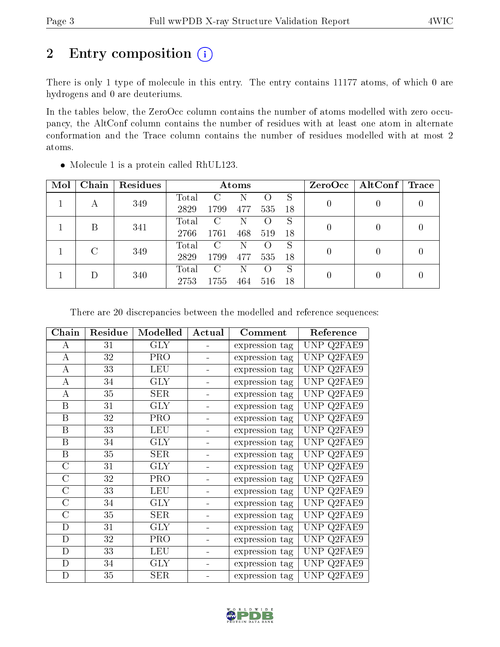# 2 Entry composition  $(i)$

There is only 1 type of molecule in this entry. The entry contains 11177 atoms, of which 0 are hydrogens and 0 are deuteriums.

In the tables below, the ZeroOcc column contains the number of atoms modelled with zero occupancy, the AltConf column contains the number of residues with at least one atom in alternate conformation and the Trace column contains the number of residues modelled with at most 2 atoms.

| Mol | Chain | Residues         | Atoms |         |                    |                    | ZeroOcc | $\mid$ AltConf $\mid$ | $\operatorname{Trace}$ |  |
|-----|-------|------------------|-------|---------|--------------------|--------------------|---------|-----------------------|------------------------|--|
|     |       | 349              | Total | C       |                    | ( )                | S       |                       |                        |  |
|     | А     |                  | 2829  | 1799    | 477                | 535                | 18      |                       |                        |  |
|     | В     | 341              | Total | $\rm C$ | N                  | $\left( \ \right)$ | S       |                       |                        |  |
|     |       |                  | 2766  | 1761    | 468                | 519                | 18      |                       |                        |  |
|     |       | $\bigcap$<br>349 | Total | C       | N                  | $\left( \ \right)$ | S       |                       |                        |  |
|     |       |                  | 2829  | 1799    | 477                | 535                | -18     |                       |                        |  |
|     |       | $\text{Total}$   | C     | N       | $\left( \ \right)$ | S                  |         |                       |                        |  |
|     | 340   | 2753             | 1755  | 464     | 516                | 18                 |         |                       |                        |  |

Molecule 1 is a protein called RhUL123.

There are 20 discrepancies between the modelled and reference sequences:

| Chain            | Residue | Modelled   | Actual | Comment        | Reference                  |
|------------------|---------|------------|--------|----------------|----------------------------|
| A                | 31      | <b>GLY</b> |        | expression tag | UNP.<br>Q2FAE9             |
| A                | 32      | <b>PRO</b> |        | expression tag | Q2FAE9<br>UNP              |
| $\boldsymbol{A}$ | 33      | <b>LEU</b> |        | expression tag | Q2FAE9<br>UNP.             |
| $\boldsymbol{A}$ | 34      | <b>GLY</b> |        | expression tag | Q2FAE9<br>UNP              |
| $\bf{A}$         | 35      | <b>SER</b> |        | expression tag | Q2FAE9<br>UNP              |
| $\boldsymbol{B}$ | 31      | <b>GLY</b> |        | expression tag | Q2FAE9<br>UNP              |
| $\, {\bf B}$     | 32      | PRO        |        | expression tag | UNP Q2FAE9                 |
| $\boldsymbol{B}$ | 33      | <b>LEU</b> |        | expression tag | UNP Q2FAE9                 |
| $\boldsymbol{B}$ | 34      | <b>GLY</b> |        | expression tag | UNP Q2FAE9                 |
| $\boldsymbol{B}$ | 35      | <b>SER</b> |        | expression tag | UNP Q2FAE9                 |
| $\overline{C}$   | 31      | <b>GLY</b> |        | expression tag | UNP Q2FAE9                 |
| $\overline{C}$   | 32      | PRO        |        | expression tag | UNP Q2FAE9                 |
| $\overline{C}$   | 33      | <b>LEU</b> |        | expression tag | UNP<br>Q2FAE9              |
| $\overline{C}$   | 34      | <b>GLY</b> |        | expression tag | UNP<br>Q2FAE9              |
| $\overline{C}$   | 35      | <b>SER</b> |        | expression tag | UNP<br>Q <sub>2</sub> FAE9 |
| $\mathbf D$      | 31      | <b>GLY</b> |        | expression tag | UNP<br>Q2FAE9              |
| D                | 32      | <b>PRO</b> |        | expression tag | Q2FAE9<br><b>UNP</b>       |
| $\mathbf D$      | 33      | <b>LEU</b> |        | expression tag | <b>UNP</b><br>Q2FAE9       |
| D                | 34      | <b>GLY</b> |        | expression tag | Q2FAE9<br>UNP.             |
| D                | 35      | <b>SER</b> |        | expression tag | UNP Q2FAE9                 |

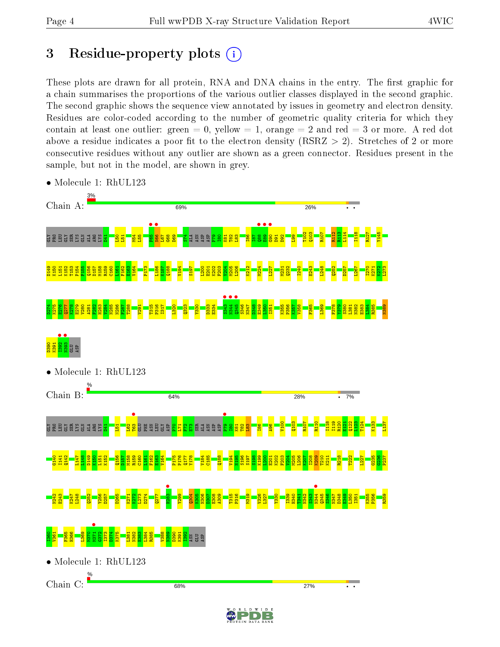# 3 Residue-property plots  $(i)$

These plots are drawn for all protein, RNA and DNA chains in the entry. The first graphic for a chain summarises the proportions of the various outlier classes displayed in the second graphic. The second graphic shows the sequence view annotated by issues in geometry and electron density. Residues are color-coded according to the number of geometric quality criteria for which they contain at least one outlier: green  $= 0$ , yellow  $= 1$ , orange  $= 2$  and red  $= 3$  or more. A red dot above a residue indicates a poor fit to the electron density (RSRZ  $> 2$ ). Stretches of 2 or more consecutive residues without any outlier are shown as a green connector. Residues present in the sample, but not in the model, are shown in grey.



• Molecule 1: RhUL123

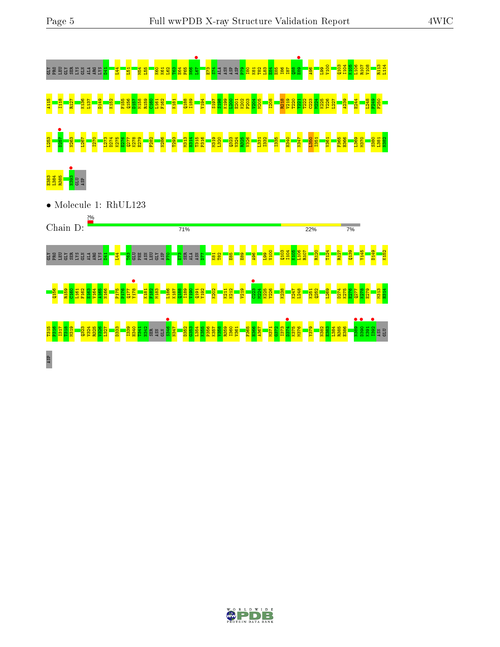

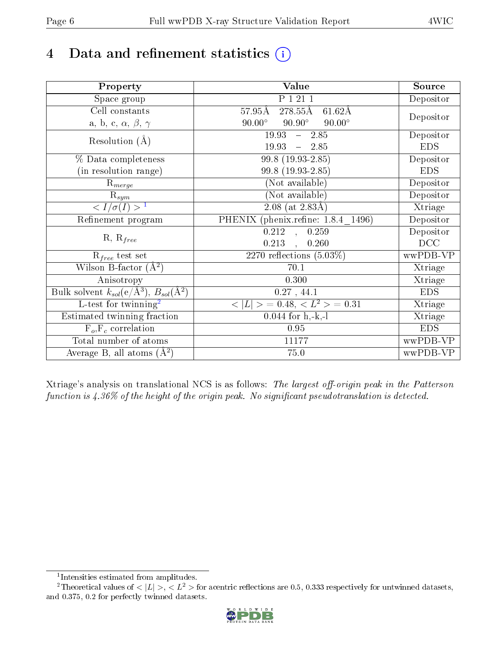# 4 Data and refinement statistics  $(i)$

| Property                                                             | <b>Value</b>                                                   | Source     |
|----------------------------------------------------------------------|----------------------------------------------------------------|------------|
| Space group                                                          | P 1 21 1                                                       | Depositor  |
| Cell constants                                                       | $278.\overline{55A}$<br>$61.62\text{\AA}$<br>$57.95\text{\AA}$ |            |
| a, b, c, $\alpha$ , $\beta$ , $\gamma$                               | $90.00^\circ$<br>$90.90^\circ$<br>$90.00^\circ$                | Depositor  |
| Resolution $(A)$                                                     | 19.93<br>$-2.85$                                               | Depositor  |
|                                                                      | 19.93<br>$-2.85$                                               | <b>EDS</b> |
| % Data completeness                                                  | 99.8 (19.93-2.85)                                              | Depositor  |
| (in resolution range)                                                | 99.8 (19.93-2.85)                                              | <b>EDS</b> |
| $R_{merge}$                                                          | (Not available)                                                | Depositor  |
| $\mathrm{R}_{sym}$                                                   | (Not available)                                                | Depositor  |
| $\langle I/\sigma(I) \rangle^{-1}$                                   | $\overline{2.08}$ (at 2.83Å)                                   | Xtriage    |
| Refinement program                                                   | PHENIX (phenix.refine: 1.8.4 1496)                             | Depositor  |
| $R, R_{free}$                                                        | 0.212<br>0.259<br>$\frac{1}{2}$                                | Depositor  |
|                                                                      | 0.213<br>0.260<br>$\ddot{\phantom{a}}$                         | DCC        |
| $R_{free}$ test set                                                  | 2270 reflections $(5.03\%)$                                    | wwPDB-VP   |
| Wilson B-factor $(A^2)$                                              | 70.1                                                           | Xtriage    |
| Anisotropy                                                           | 0.300                                                          | Xtriage    |
| Bulk solvent $k_{sol}(e/\mathring{A}^3)$ , $B_{sol}(\mathring{A}^2)$ | 0.27, 44.1                                                     | <b>EDS</b> |
| L-test for twinning <sup>2</sup>                                     | $>$ = 0.48, < $L^2$ > = 0.31<br>< L                            | Xtriage    |
| Estimated twinning fraction                                          | $0.044$ for h,-k,-l                                            | Xtriage    |
| $F_o, F_c$ correlation                                               | 0.95                                                           | <b>EDS</b> |
| Total number of atoms                                                | 11177                                                          | wwPDB-VP   |
| Average B, all atoms $(A^2)$                                         | 75.0                                                           | wwPDB-VP   |

Xtriage's analysis on translational NCS is as follows: The largest off-origin peak in the Patterson function is  $4.36\%$  of the height of the origin peak. No significant pseudotranslation is detected.

<sup>&</sup>lt;sup>2</sup>Theoretical values of  $\langle |L| \rangle$ ,  $\langle L^2 \rangle$  for acentric reflections are 0.5, 0.333 respectively for untwinned datasets, and 0.375, 0.2 for perfectly twinned datasets.



<span id="page-5-1"></span><span id="page-5-0"></span><sup>1</sup> Intensities estimated from amplitudes.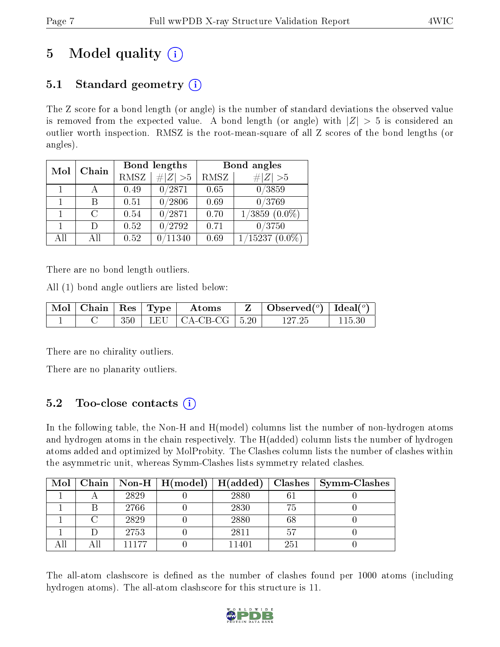# 5 Model quality  $(i)$

# 5.1 Standard geometry  $(i)$

The Z score for a bond length (or angle) is the number of standard deviations the observed value is removed from the expected value. A bond length (or angle) with  $|Z| > 5$  is considered an outlier worth inspection. RMSZ is the root-mean-square of all Z scores of the bond lengths (or angles).

| Mol          | Chain  |      | Bond lengths | Bond angles |                  |  |
|--------------|--------|------|--------------|-------------|------------------|--|
|              |        | RMSZ | # $ Z  > 5$  | RMSZ        | $\ Z\  > 5$      |  |
| $\mathbf{1}$ |        | 0.49 | 0/2871       | 0.65        | 0/3859           |  |
|              | В      | 0.51 | 0/2806       | 0.69        | 0/3769           |  |
|              | C      | 0.54 | 0/2871       | 0.70        | $1/3859(0.0\%)$  |  |
|              | $\Box$ | 0.52 | 0/2792       | 0.71        | 0/3750           |  |
| All          | All    | 0.52 | 11340        | 0.69        | $1/15237(0.0\%)$ |  |

There are no bond length outliers.

All (1) bond angle outliers are listed below:

| $\vert$ Mol $\vert$ Chain $\vert$ Res $\vert$ Type $\vert$ |     | Atoms                             | Observed( $^{\circ}$ )   Ideal( $^{\circ}$ ) |  |
|------------------------------------------------------------|-----|-----------------------------------|----------------------------------------------|--|
|                                                            | 350 | LEU $\vert$ CA-CB-CG $\vert$ 5.20 | 197 9F                                       |  |

There are no chirality outliers.

There are no planarity outliers.

### $5.2$  Too-close contacts  $(i)$

In the following table, the Non-H and H(model) columns list the number of non-hydrogen atoms and hydrogen atoms in the chain respectively. The H(added) column lists the number of hydrogen atoms added and optimized by MolProbity. The Clashes column lists the number of clashes within the asymmetric unit, whereas Symm-Clashes lists symmetry related clashes.

| Mol |       | Chain   Non-H   $H(model)$   $H(added)$ |       |             | Clashes   Symm-Clashes |
|-----|-------|-----------------------------------------|-------|-------------|------------------------|
|     | 2829  |                                         | 2880  | $6^{\circ}$ |                        |
|     | 2766  |                                         | 2830  | 75          |                        |
|     | 2829  |                                         | 2880  | 68          |                        |
|     | 2753  |                                         | 2811  | 57          |                        |
|     | 11177 |                                         | 11401 | 251         |                        |

The all-atom clashscore is defined as the number of clashes found per 1000 atoms (including hydrogen atoms). The all-atom clashscore for this structure is 11.

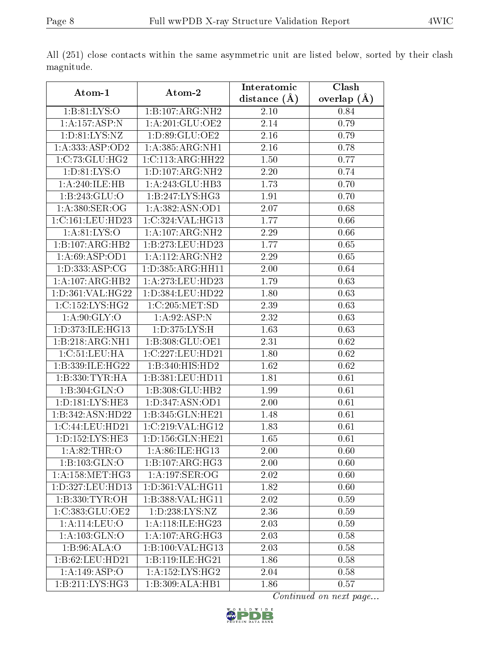|                                          |                               | Interatomic       | Clash         |  |
|------------------------------------------|-------------------------------|-------------------|---------------|--|
| Atom-1                                   | Atom-2                        | distance $(A)$    | overlap $(A)$ |  |
| 1: B:81: LYS:O                           | 1:B:107:ARG:NH2               | 2.10              | 0.84          |  |
| 1:A:157:ASP:N                            | 1:A:201:GLU:OE2               | 2.14              | 0.79          |  |
| 1: D: 81: LYS: NZ                        | 1:D:89:GLU:OE2                | 2.16              | 0.79          |  |
| 1: A: 333: ASP: OD2                      | 1: A: 385: ARG: NH1           | 2.16              | 0.78          |  |
| 1:C:73:GLU:HG2                           | 1:C:113:ARG:HH22              | 1.50              | 0.77          |  |
| 1: D: 81: LYS: O                         | 1: D: 107: ARG: NH2           | 2.20              | 0.74          |  |
| 1:A:240:ILE:HB                           | 1: A:243: GLU:HB3             | 1.73              | 0.70          |  |
| 1:B:243:GLU:O                            | 1:B:247:LYS:HG3               | 1.91              | 0.70          |  |
| 1: A:380: SER:OG                         | 1:A:382:ASN:OD1               | 2.07              | 0.68          |  |
| 1:C:161:LEU:HD23                         | 1:C:324:VAL:HG13              | 1.77              | 0.66          |  |
| 1: A:81: LYS:O                           | 1: A: 107: ARG: NH2           | 2.29              | 0.66          |  |
| 1:B:107:ARG:HB2                          | 1:B:273:LEU:HD23              | 1.77              | 0.65          |  |
| 1: A:69: ASP:OD1                         | 1: A:112: ARG: NH2            | 2.29              | 0.65          |  |
| 1: D: 333: ASP: CG                       | 1:D:385:ARG:HH11              | 2.00              | 0.64          |  |
| 1:A:107:ARG:HB2                          | 1:A:273:LEU:HD23              | 1.79              | 0.63          |  |
| 1:D:361:VAL:HG22                         | 1:D:384:LEU:HD22              | 1.80              | 0.63          |  |
| 1:C:152:LYS:HG2                          | 1:C:205:MET:SD                | 2.39              | 0.63          |  |
| 1: A:90: GLY:O                           | 1:A:92:ASP:N                  | 2.32              | 0.63          |  |
| 1:D:373:ILE:HG13                         | 1:D:375:LYS:H                 | 1.63              | 0.63          |  |
| 1:B:218:ARG:NH1                          | 1:B:308:GLU:OE1               | $\overline{2.31}$ | 0.62          |  |
| 1:C:51:LEU:HA                            | 1:C:227:LEU:HD21              | 1.80              | 0.62          |  |
| 1:B:339:ILE:HG22                         | 1:B:340:HIS:HD2               | 1.62              | 0.62          |  |
| 1:B:330:TYR:HA                           | 1:B:381:LEU:HD11              | 1.81              | 0.61          |  |
| 1:B:304:GLN:O                            | 1:B:308:GLU:HB2               | 1.99              | 0.61          |  |
| 1:D:181:LYS:HE3                          | 1:D:347:ASN:OD1               | 2.00              | 0.61          |  |
| 1:B:342:ASN:HD22                         | $1:B:345:GLN:\overline{HE21}$ | 1.48              | 0.61          |  |
| 1:C:44:LEU:HD21                          | 1:C:219:VAL:HG12              | 1.83              | 0.61          |  |
| 1:D:152:LYS:HE3                          | 1:D:156:GLN:HE21              | 1.65              | 0.61          |  |
| 1: A:82:THR:O                            | 1: A:86: ILE: HG13            | 2.00              | 0.60          |  |
| 1:B:103:GLN:O                            | 1:B:107:ARG:HG3               | 2.00              | 0.60          |  |
| $1: A: 158: \overline{\mathrm{MET:HG3}}$ | 1:A:197:SER:OG                | 2.02              | 0.60          |  |
| 1:D:327:LEU:HD13                         | 1:D:361:VAL:HG11              | 1.82              | 0.60          |  |
| 1:B:330:TYR:OH                           | 1:B:388:VAL:HG11              | $\overline{2.02}$ | 0.59          |  |
| 1:C:383:GLU:OE2                          | 1:D:238:LYS:NZ                | 2.36              | 0.59          |  |
| 1:A:114:LEU:O                            | 1:A:118:ILE:HG23              | 2.03              | 0.59          |  |
| 1: A: 103: GLN: O                        | 1:A:107:ARG:HG3               | 2.03              | 0.58          |  |
| 1:B:96:ALA:O                             | 1:B:100:VAL:HG13              | 2.03              | 0.58          |  |
| 1:B:62:LEU:HD21                          | 1:B:119:ILE:HG21              | 1.86              | 0.58          |  |
| 1:A:149:ASP:O                            | 1: A: 152: LYS: HG2           | 2.04              | 0.58          |  |
| 1:B:211:LYS:HG3                          | 1:B:309:ALA:HB1               | 1.86              | 0.57          |  |

All (251) close contacts within the same asymmetric unit are listed below, sorted by their clash magnitude.

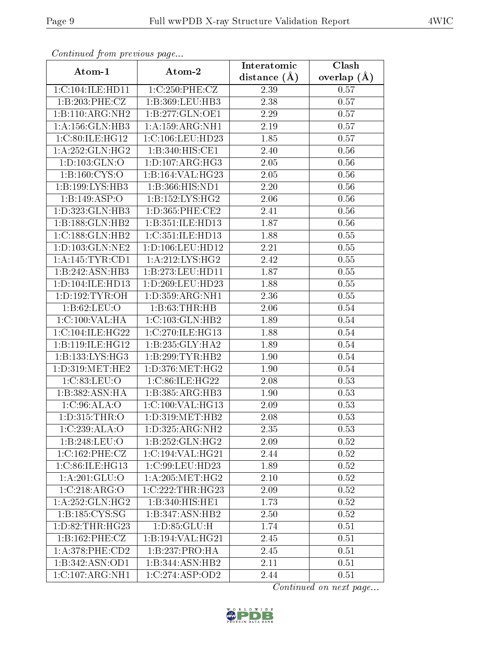| Continued from previous page |                                      | Interatomic      | Clash         |
|------------------------------|--------------------------------------|------------------|---------------|
| Atom-1                       | Atom-2                               | distance $(\AA)$ | overlap $(A)$ |
| 1:C:104:ILE:HD11             | 1:C:250:PHE:CZ                       | 2.39             | 0.57          |
| 1:B:203:PHE:CZ               | 1:B:369:LEU:HB3                      | 2.38             | 0.57          |
| 1:B:110:ARG:NH2              | 1:B:277:GLN:OE1                      | 2.29             | 0.57          |
| 1: A: 156: GLN: HB3          | 1: A: 159: ARG: NH1                  | 2.19             | 0.57          |
| 1:C:80:ILE:HG12              | 1:C:106:LEU:HD23                     | 1.85             | 0.57          |
| 1: A:252: GLN: HG2           | 1:B:340:HIS:CE1                      | 2.40             | 0.56          |
| 1:D:103:GLN:O                | 1: D: 107: ARG: HG3                  | 2.05             | $0.56\,$      |
| 1:B:160:CYS:O                | 1:B:164:VAL:HG23                     | 2.05             | 0.56          |
| 1:B:199:LYS:HB3              | 1:B:366:HIS:ND1                      | 2.20             | $0.56\,$      |
| 1:B:149:ASP:O                | 1: B: 152: LYS: HG2                  | 2.06             | 0.56          |
| 1:D:323:GLN:HB3              | 1: D: 365: PHE: CE2                  | 2.41             | 0.56          |
| 1:B:188:GLN:HB2              | 1:B:351:ILE:HD13                     | 1.87             | 0.56          |
| 1:C:188:GLN:HB2              | 1:C:351:ILE:HD13                     | 1.88             | 0.55          |
| 1: D: 103: GLN: NE2          | 1:D:106:LEU:HD12                     | 2.21             | 0.55          |
| $1:$ A:145:TYR:CD1           | 1:A:212:LYS:HG2                      | 2.42             | 0.55          |
| 1:B:242:ASN:HB3              | 1:B:273:LEU:HD11                     | 1.87             | 0.55          |
| 1:D:104:ILE:HD13             | 1:D:269:LEU:HD23                     | 1.88             | 0.55          |
| 1: D: 192: TYR: OH           | 1: D: 359: ARG: NH1                  | 2.36             | $0.55\,$      |
| 1: B:62: LEU:O               | 1:B:63:THR:HB                        | 2.06             | 0.54          |
| 1:C:100:VAL:HA               | 1:C:103:GLN:HB2                      | 1.89             | 0.54          |
| 1:C:104:ILE:HG22             | 1:C:270:ILE:HG13                     | 1.88             | 0.54          |
| 1:B:119:ILE:HG12             | 1:B:235:GLY:HA2                      | 1.89             | 0.54          |
| 1:B:133:LYS:HG3              | 1:B:299:TYR:HB2                      | 1.90             | 0.54          |
| 1: D: 319: MET: HE2          | 1: D: 376: MET:HG2                   | 1.90             | 0.54          |
| 1:C:83:LEU:O                 | 1:C:86:ILE:HG22                      | 2.08             | 0.53          |
| 1:B:382:ASN:HA               | 1:B:385:ARG:HB3                      | 1.90             | 0.53          |
| 1:C:96:ALA:O                 | 1:C:100:VAL:HG13                     | 2.09             | 0.53          |
| 1:D:315:THR:O                | 1:D:319:MET:HB2                      | 2.08             | 0.53          |
| 1:C:239:ALA:O                | 1: D: 325: ARG: NH2                  | 2.35             | 0.53          |
| 1:B:248:LEU:O                | 1:B:252:GLN:HG2                      | 2.09             | 0.52          |
| 1:C:162:PHE:CZ               | $1:C:194:\overline{\text{VAL}:HG21}$ | 2.44             | 0.52          |
| 1:C:86:ILE:HG13              | 1:C:99:LEU:HD23                      | 1.89             | 0.52          |
| 1: A:201: GLU:O              | 1: A:205: MET:HG2                    | 2.10             | 0.52          |
| 1:C:218:ARG:O                | 1:C:222:THR:HG23                     | 2.09             | 0.52          |
| 1:A:252:GLN:HG2              | 1:B:340:HIS:HE1                      | 1.73             | 0.52          |
| 1: B: 185: CYS: SG           | 1:B:347:ASN:HB2                      | 2.50             | 0.52          |
| 1: D: 82: THR: HG23          | 1: D: 85: GLU: H                     | 1.74             | 0.51          |
| 1:B:162:PHE:CZ               | 1:B:194:VAL:HG21                     | 2.45             | 0.51          |
| 1: A:378: PHE:CD2            | 1:B:237:PRO:HA                       | 2.45             | 0.51          |
| 1:B:342:ASN:OD1              | 1:B:344:ASN:HB2                      | 2.11             | 0.51          |
| 1:C:107:ARG:NH1              | 1:C:274:ASP:OD2                      | 2.44             | 0.51          |

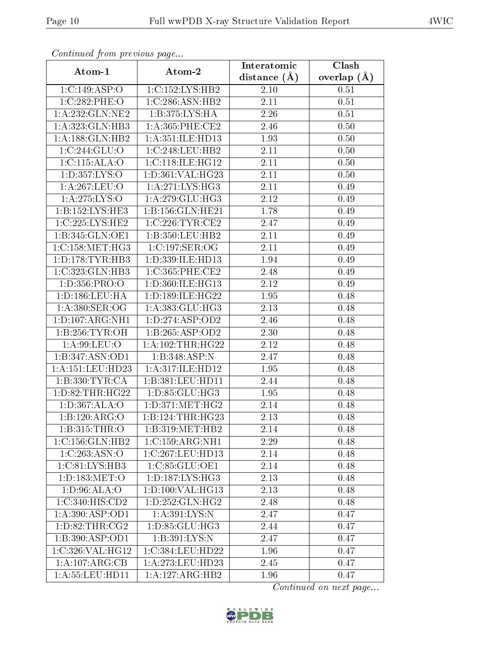| Commaca from previous page |                                | Interatomic    | Clash             |  |
|----------------------------|--------------------------------|----------------|-------------------|--|
| Atom-1                     | Atom-2                         | distance $(A)$ | overlap $(A)$     |  |
| 1:C:149:ASP:O              | 1:C:152:LYS:HB2                | 2.10           | 0.51              |  |
| 1:C:282:PHE:O              | 1:C:286:ASN:HB2                | 2.11           | $\overline{0.51}$ |  |
| 1: A:232: GLN:NE2          | 1:B:375:LYS:HA                 | 2.26           | 0.51              |  |
| 1:A:323:GLN:HB3            | 1: A:365:PHE:CE2               | 2.46           | 0.50              |  |
| 1: A: 188: GLN: HB2        | 1: A: 351: ILE: HD13           | 1.93           | 0.50              |  |
| 1:C:244:GLU:O              | 1:C:248:LEU:HB2                | 2.11           | 0.50              |  |
| 1:C:115:ALA:O              | 1:C:118:ILE:HG12               | 2.11           | 0.50              |  |
| 1:D:357:LYS:O              | 1:D:361:VAL:HG23               | 2.11           | 0.50              |  |
| 1:A:267:LEU:O              | 1: A:271: LYS:HG3              | 2.11           | 0.49              |  |
| 1:A:275:LYS:O              | 1: A:279: GLU:HG3              | 2.12           | 0.49              |  |
| 1:B:152:LYS:HE3            | 1:B:156:GLN:HE21               | 1.78           | 0.49              |  |
| 1:C:225:LYS:HE2            | 1:C:226:TYR:CE2                | 2.47           | 0.49              |  |
| 1:B:345:GLN:OE1            | 1:B:350:LEU:HB2                | 2.11           | 0.49              |  |
| 1:C:158:MET:HG3            | 1:C:197:SER:OG                 | 2.11           | 0.49              |  |
| 1: D: 178: TYR: HB3        | 1:D:339:ILE:HD13               | 1.94           | 0.49              |  |
| 1:C:323:CLN:HB3            | 1:C:365:PHE:CE2                | 2.48           | 0.49              |  |
| 1:D:356:PRO:O              | 1:D:360:ILE:HG13               | 2.12           | 0.49              |  |
| 1: D: 186: LEU: HA         | 1:D:189:ILE:HG22               | 1.95           | 0.48              |  |
| 1:A:380:SER:OG             | 1:A:383:GLU:HG3                | 2.13           | 0.48              |  |
| 1: D: 107: ARG: NH1        | 1: D: 274: ASP: OD2            | 2.46           | 0.48              |  |
| 1:B:256:TYR:OH             | 1:B:265:ASP:OD2                | 2.30           | 0.48              |  |
| 1: A:99: LEU:O             | 1: A:102:THR:HG22              | 2.12           | 0.48              |  |
| 1:B:347:ASN:OD1            | 1:B:348:ASP:N                  | 2.47           | 0.48              |  |
| 1: A: 151: LEU: HD23       | 1: A:317: ILE: HD12            | 1.95           | 0.48              |  |
| 1:B:330:TYR:CA             | 1:B:381:LEU:HD11               | 2.44           | 0.48              |  |
| 1: D: 82: THR: HG22        | 1:D:85:GLU:HG3                 | 1.95           | 0.48              |  |
| 1: D: 367: ALA: O          | $1: D:371: MET:H\overline{G2}$ | 2.14           | 0.48              |  |
| 1:B:120:ARG:O              | 1:B:124:THR:HG23               | 2.13           | 0.48              |  |
| 1:B:315:THR:O              | 1:B:319:MET:HB2                | 2.14           | 0.48              |  |
| $1:C:156:$ GLN:HB2         | $1:C:159:AR\overline{G:NH1}$   | 2.29           | 0.48              |  |
| 1:C:263:ASN:O              | 1:C:267:LEU:HD13               | 2.14           | 0.48              |  |
| 1: C:81: LYS:HB3           | 1:C:85:GLU:OE1                 | 2.14           | 0.48              |  |
| 1:D:183:MET:O              | 1: D: 187: LYS: HG3            | 2.13           | 0.48              |  |
| 1: D:96: ALA:O             | 1:D:100:VAL:HG13               | 2.13           | 0.48              |  |
| 1:C:340:HIS:CD2            | 1: D: 252: GLN: HG2            | 2.48           | 0.48              |  |
| 1: A:390: ASP:OD1          | 1:A:391:LYS:N                  | 2.47           | 0.47              |  |
| 1: D:82:THR:CG2            | 1: D: 85: GLU: HG3             | 2.44           | 0.47              |  |
| 1:B:390:ASP:OD1            | 1: B:391: LYS:N                | 2.47           | 0.47              |  |
| 1:C:326:VAL:HG12           | 1:C:384:LEU:HD22               | 1.96           | 0.47              |  |
| 1:A:107:ARG:CB             | 1:A:273:LEU:HD23               | 2.45           | 0.47              |  |
| 1: A: 55: LEU: HD11        | 1:A:127:ARG:HB2                | 1.96           | 0.47              |  |

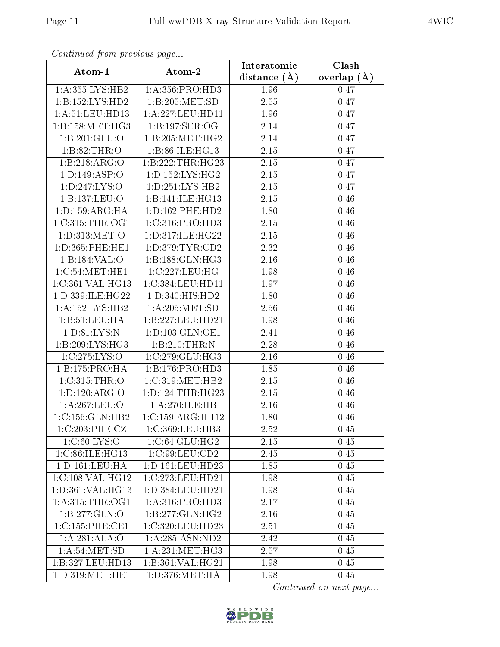| Continuea from previous page |                      | Interatomic    | Clash         |  |
|------------------------------|----------------------|----------------|---------------|--|
| Atom-1                       | Atom-2               | distance $(A)$ | overlap $(A)$ |  |
| 1: A: 355: LYS: HB2          | 1: A: 356: PRO: HD3  | 1.96           | 0.47          |  |
| 1:B:152:LYS:HD2              | 1:B:205:MET:SD       | 2.55           | 0.47          |  |
| 1:A:51:LEU:HD13              | 1: A: 227: LEU: HD11 | 1.96           | 0.47          |  |
| 1:B:158:MET:HG3              | 1:B:197:SER:OG       | 2.14           | 0.47          |  |
| 1:B:201:GLU:O                | 1:B:205:MET:HG2      | 2.14           | 0.47          |  |
| 1:B:82:THR:O                 | 1:B:86:ILE:HGI3      | 2.15           | 0.47          |  |
| 1:B:218:ARG:O                | 1:B:222:THR:HG23     | 2.15           | 0.47          |  |
| 1: D: 149: ASP: O            | 1: D: 152: LYS: HG2  | 2.15           | 0.47          |  |
| 1: D: 247: LYS: O            | 1: D: 251: LYS: HB2  | 2.15           | 0.47          |  |
| 1:B:137:LEU:O                | 1:B:141:ILE:HG13     | 2.15           | 0.46          |  |
| 1: D: 159: ARG: HA           | 1: D: 162: PHE: HD2  | 1.80           | 0.46          |  |
| 1:C:315:THR:OG1              | 1:C:316:PRO:HD3      | 2.15           | 0.46          |  |
| 1:D:313:MET:O                | 1:D:317:ILE:HG22     | 2.15           | 0.46          |  |
| 1: D: 365: PHE: HE1          | 1: D: 379: TYR: CD2  | 2.32           | 0.46          |  |
| 1:B:184:VAL:O                | 1:B:188:GLN:HG3      | 2.16           | 0.46          |  |
| 1:C:54:MET:HE1               | 1:C:227:LEU:HG       | 1.98           | 0.46          |  |
| 1:C:361:VAL:HG13             | 1:C:384:LEU:HD11     | 1.97           | 0.46          |  |
| 1:D:339:ILE:HG22             | 1:D:340:HIS:HD2      | 1.80           | 0.46          |  |
| 1:A:152:LYS:HB2              | 1: A:205: MET:SD     | 2.56           | 0.46          |  |
| 1: B: 51: LEU: HA            | 1:B:227:LEU:HD21     | 1.98           | 0.46          |  |
| 1: D:81: LYS:N               | 1: D: 103: GLN: OE1  | 2.41           | 0.46          |  |
| 1:B:209:LYS:HG3              | 1:B:210:THR:N        | 2.28           | 0.46          |  |
| 1:C:275:LYS:O                | 1:C:279:CLU:HG3      | 2.16           | 0.46          |  |
| 1:B:175:PRO:HA               | 1:B:176:PRO:HD3      | 1.85           | 0.46          |  |
| 1: C:315: THR:O              | 1:C:319:MET:HB2      | 2.15           | 0.46          |  |
| 1:D:120:ARG:O                | 1: D: 124: THR: HG23 | 2.15           | 0.46          |  |
| 1:A:267:LEU:O                | 1:A:270:ILE:HB       | $2.16\,$       | 0.46          |  |
| 1:C:156:GLN:HB2              | 1:C:159:ARG:HH12     | 1.80           | 0.46          |  |
| $1:C:203:\overline{PHE:CZ}$  | 1:C:369:LEU:HB3      | 2.52           | 0.45          |  |
| 1:C:60:LYS:O                 | 1: C:64: GLU: HG2    | 2.15           | 0.45          |  |
| 1:C:86:ILE:HG13              | 1:C:99:LEU:CD2       | 2.45           | 0.45          |  |
| 1:D:161:LEU:HA               | 1: D: 161: LEU: HD23 | 1.85           | 0.45          |  |
| 1:C:108:VAL:HG12             | 1:C:273:LEU:HD21     | 1.98           | 0.45          |  |
| 1:D:361:VAL:HG13             | 1:D:384:LEU:HD21     | 1.98           | 0.45          |  |
| 1: A:315:THR:OG1             | 1: A:316: PRO:HD3    | 2.17           | 0.45          |  |
| 1:B:277:GLN:O                | 1:B:277:GLN:HG2      | 2.16           | 0.45          |  |
| 1:C:155:PHE:CE1              | 1:C:320:LEU:HD23     | 2.51           | 0.45          |  |
| 1:A:281:ALA:O                | 1: A: 285: ASN: ND2  | 2.42           | 0.45          |  |
| 1: A:54: MET:SD              | 1: A:231: MET:HG3    | 2.57           | 0.45          |  |
| 1:B:327:LEU:HD13             | 1:B:361:VAL:HG21     | 1.98           | 0.45          |  |
| 1: D: 319: MET: HE1          | 1: D: 376: MET: HA   | 1.98           | 0.45          |  |

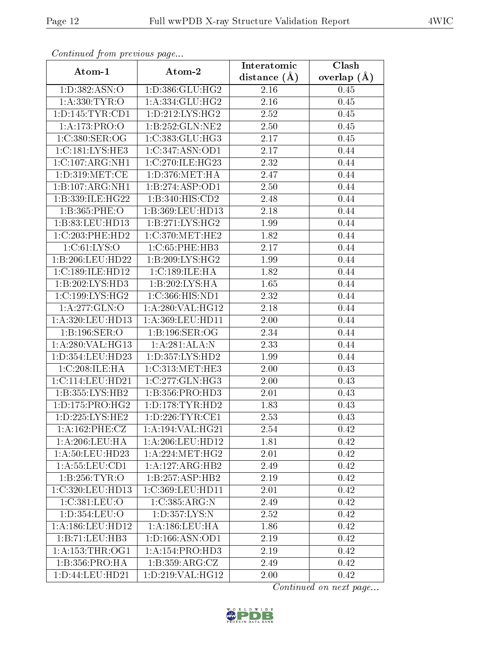| Communaca from previous page |                               | Interatomic    | Clash           |  |
|------------------------------|-------------------------------|----------------|-----------------|--|
| Atom-1                       | Atom-2                        | distance $(A)$ | overlap $(\AA)$ |  |
| 1:D:382:ASN:O                | 1:D:386:GLU:HG2               | 2.16           | 0.45            |  |
| 1:A:330:TYR:O                | 1:A:334:GLU:HG2               | 2.16           | 0.45            |  |
| 1: D: 145: TYR: CD1          | 1: D: 212: LYS: HG2           | 2.52           | 0.45            |  |
| 1:A:173:PRO:O                | 1:B:252:GLN:NE2               | 2.50           | 0.45            |  |
| 1:C:380:SER:OG               | 1:C:383:CLU:HG3               | 2.17           | 0.45            |  |
| 1:C:181:LYS:HE3              | 1:C:347:ASN:OD1               | 2.17           | 0.44            |  |
| 1:C:107:ARG:NH1              | 1:C:270:ILE:HG23              | 2.32           | 0.44            |  |
| 1: D:319: MET:CE             | 1: D: 376: MET: HA            | 2.47           | 0.44            |  |
| 1:B:107:ARG:NH1              | 1:B:274:ASP:OD1               | 2.50           | 0.44            |  |
| 1:B:339:ILE:HG22             | 1: B:340: HIS: CD2            | 2.48           | 0.44            |  |
| 1:B:365:PHE:O                | 1:B:369:LEU:HD13              | 2.18           | 0.44            |  |
| 1:B:83:LEU:HD13              | 1:B:271:LYS:HG2               | 1.99           | 0.44            |  |
| 1:C:203:PHE:HD2              | 1:C:370:MET:HE2               | 1.82           | 0.44            |  |
| 1:C:61:LYS:O                 | 1:C:65:PHE:HB3                | 2.17           | 0.44            |  |
| 1:B:206:LEU:HD22             | 1:B:209:LYS:HG2               | 1.99           | 0.44            |  |
| 1:C:189:ILE:HD12             | 1:C:189:ILE:HA                | 1.82           | 0.44            |  |
| 1:B:202:LYS:HD3              | 1:B:202:LYS:HA                | 1.65           | 0.44            |  |
| 1:C:199:LYS:HG2              | 1:C:366:HIS:ND1               | 2.32           | 0.44            |  |
| 1:A:277:GLN:O                | 1:A:280:VAL:HG12              | 2.18           | 0.44            |  |
| 1: A:320: LEU: HD13          | 1:A:369:LEU:HD11              | 2.00           | 0.44            |  |
| 1:B:196:SER:O                | 1:B:196:SER:OG                | 2.34           | 0.44            |  |
| 1: A:280: VAL:HG13           | 1:A:281:ALA:N                 | 2.33           | 0.44            |  |
| 1:D:354:LEU:HD23             | 1: D: 357: LYS: HD2           | 1.99           | 0.44            |  |
| 1:C:208:ILE:HA               | 1:C:313:MET:HE3               | 2.00           | 0.43            |  |
| 1:C:114:LEU:HD21             | 1:C:277:GLN:HG3               | 2.00           | 0.43            |  |
| 1:B:355:LYS:HB2              | 1:B:356:PRO:HD3               | 2.01           | 0.43            |  |
| 1: D: 175: PRO:HG2           | 1: D: 178: TYR: HD2           | 1.83           | 0.43            |  |
| 1: D: 225: LYS: HE2          | 1: D: 226: TYR: CE1           | 2.53           | 0.43            |  |
| 1: A:162:PHE:CZ              | 1:A:194:VAL:HG21              | 2.54           | 0.42            |  |
| 1:A:206:LEU:HA               | 1:A:206:LEU:HD12              | 1.81           | 0.42            |  |
| 1: A:50: LEU:HD23            | 1: A:224: MET:HG2             | 2.01           | 0.42            |  |
| 1: A: 55: LEU: CD1           | 1:A:127:ARG:HB2               | 2.49           | 0.42            |  |
| 1:B:256:TYR:O                | $1:B:257:ASP:\overline{H B2}$ | 2.19           | 0.42            |  |
| 1:C:320:LEU:HD13             | 1:C:369:LEU:HD11              | 2.01           | 0.42            |  |
| 1:C:381:LEU:O                | 1:C:385:ARG:N                 | 2.49           | 0.42            |  |
| 1:D:354:LEU:O                | 1:D:357:LYS:N                 | 2.52           | 0.42            |  |
| 1: A: 186: LEU: HD12         | 1: A: 186: LEU: HA            | 1.86           | 0.42            |  |
| 1:B:71:LEU:HB3               | 1:D:166:ASN:OD1               | 2.19           | 0.42            |  |
| 1: A: 153: THR: OG1          | 1: A:154: PRO:HD3             | 2.19           | 0.42            |  |
| 1:B:356:PRO:HA               | 1:B:359:ARG:CZ                | 2.49           | 0.42            |  |
| 1:D:44:LEU:HD21              | 1:D:219:VAL:HG12              | 2.00           | 0.42            |  |

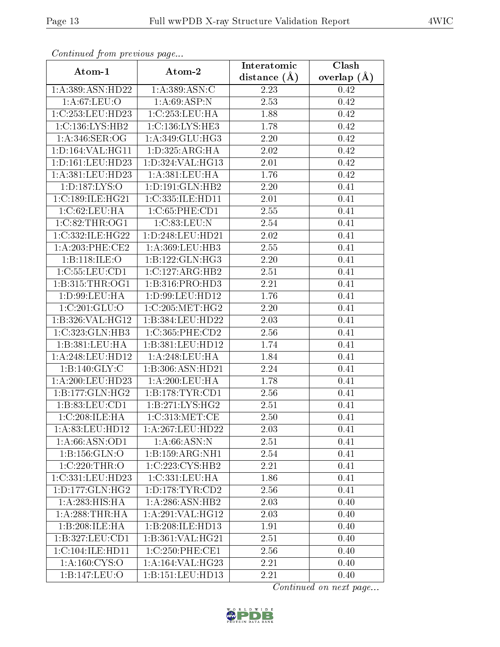| Communica from precious page         |                              | Interatomic       | $\overline{\text{Clash}}$ |
|--------------------------------------|------------------------------|-------------------|---------------------------|
| Atom-1                               | Atom-2                       | distance $(A)$    | overlap $(\AA)$           |
| 1:A:389:ASN:HD22                     | 1: A: 389: ASN: C            | 2.23              | 0.42                      |
| 1: A:67:LEU:O                        | 1: A:69: ASP: N              | 2.53              | 0.42                      |
| 1:C:253:LEU:HD23                     | 1:C:253:LEU:HA               | 1.88              | 0.42                      |
| 1:C:136:LYS:HB2                      | $1:C:136:LYS:H\overline{E3}$ | 1.78              | 0.42                      |
| 1: A:346: SER:OG                     | 1:A:349:GLU:HG3              | 2.20              | 0.42                      |
| 1:D:164:VAL:HG11                     | 1: D: 325: ARG: HA           | 2.02              | 0.42                      |
| 1:D:161:LEU:HD23                     | 1: D: 324: VAL:HG13          | 2.01              | 0.42                      |
| 1: A: 381: LEU: HD23                 | 1: A: 381: LEU: HA           | 1.76              | 0.42                      |
| 1:D:187:LYS:O                        | 1: D: 191: GLN: HB2          | 2.20              | 0.41                      |
| 1:C:189:ILE:HG21                     | 1:C:335:ILE:HD11             | 2.01              | 0.41                      |
| 1:C:62:LEU:HA                        | 1:C:65:PHE:CD1               | 2.55              | 0.41                      |
| $1:C:82$ : THR: OG1                  | 1:C:83:LEU:N                 | $\overline{2.54}$ | 0.41                      |
| 1:C:332:ILE:HG22                     | 1:D:248:LEU:HD21             | 2.02              | 0.41                      |
| 1:A:203:PHE:CE2                      | 1:A:369:LEU:HB3              | 2.55              | 0.41                      |
| 1:B:118:ILE:O                        | 1:B:122:GLN:HG3              | 2.20              | 0.41                      |
| 1: C: 55: LEU: CD1                   | 1:C:127:ARG:HB2              | 2.51              | 0.41                      |
| 1: B: 315: THR: OG1                  | 1:B:316:PRO:HD3              | 2.21              | 0.41                      |
| 1: D: 99: LEU: HA                    | 1:D:99:LEU:HD12              | 1.76              | 0.41                      |
| 1:C:201:GLU:O                        | 1:C:205:MET:HG2              | 2.20              | 0.41                      |
| 1: B:326: VAL:HG12                   | 1:B:384:LEU:HD22             | 2.03              | 0.41                      |
| 1:C:323:GLN:HB3                      | 1:C:365:PHE:CD2              | 2.56              | 0.41                      |
| 1:B:381:LEU:HA                       | 1:B:381:LEU:HD12             | 1.74              | 0.41                      |
| 1:A:248:LEU:HD12                     | 1:A:248:LEU:HA               | 1.84              | 0.41                      |
| 1: B: 140: GLY: C                    | 1:B:306:ASN:HD21             | 2.24              | 0.41                      |
| 1:A:200:LEU:HD23                     | 1:A:200:LEU:HA               | 1.78              | 0.41                      |
| 1:B:177:GLN:HG2                      | 1:B:178:TYR:CD1              | $\overline{2.56}$ | 0.41                      |
| 1: B: 83: LEU: CD1                   | 1: B: 271: LYS: HG2          | 2.51              | 0.41                      |
| 1:C:208:ILE:HA                       | 1:C:313:MET:CE               | 2.50              | 0.41                      |
| 1:A:83:LEU:HD12                      | 1:A:267:LEU:HD22             | 2.03              | 0.41                      |
| 1: A:66: ASN:OD1                     | 1: A:66: ASN: N              | 2.51              | 0.41                      |
| 1: B: 156: GLN: O                    | 1:B:159:ARG:NH1              | 2.54              | 0.41                      |
| 1:C:220:THR:O                        | 1:C:223:CYS:HB2              | 2.21              | 0.41                      |
| 1:C:331:LEU:HD23                     | 1:C:331:LEU:HA               | 1.86              | 0.41                      |
| $1: D: 177: \overline{GLN:HG2}$      | 1: D: 178: TYR: CD2          | 2.56              | 0.41                      |
| 1:A:283:HIS:HA                       | 1:A:286:ASN:HB2              | 2.03              | 0.40                      |
| 1: A:288:THR:HA                      | 1:A:291:VAL:HG12             | 2.03              | 0.40                      |
| 1:B:208:ILE:HA                       | 1:B:208:ILE:HD13             | 1.91              | 0.40                      |
| 1:B:327:LEU:CD1                      | 1:B:361:VAL:HG21             | 2.51              | 0.40                      |
| 1:C:104:ILE:HD11                     | 1:C:250:PHE:CE1              | 2.56              | 0.40                      |
| 1: A: 160: CYS:O                     | 1: A:164: VAL:HG23           | 2.21              | 0.40                      |
| $1: B: 147: \overline{\text{LEU:O}}$ | 1:B:151:LEU:HD13             | 2.21              | 0.40                      |

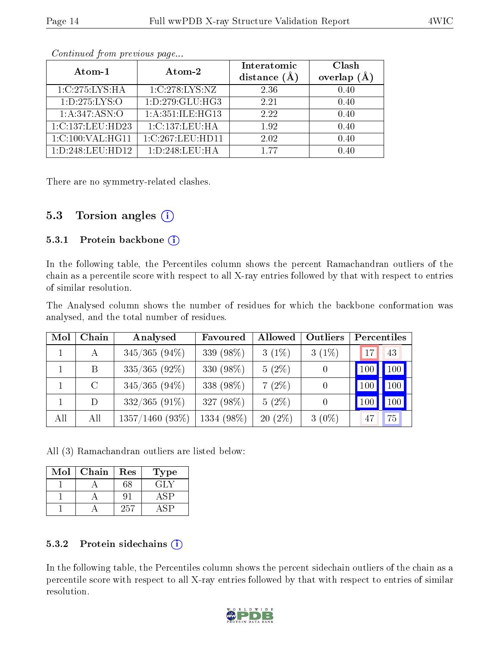| Atom-1            | Atom-2              | Interatomic    | Clash         |
|-------------------|---------------------|----------------|---------------|
|                   |                     | distance $(A)$ | (Ä<br>overlap |
| 1:C:275:LYS:HA    | 1:C:278:LYS:NZ      | 2.36           | 0.40          |
| 1: D: 275: LYS: O | 1:D:279:GLU:HG3     | 2.21           | 0.40          |
| 1: A:347: ASN:O   | 1: A:351: ILE: HG13 | 2.22           | 0.40          |
| 1:C:137:LEU:HD23  | 1:C:137:LEU:HA      | 1.92           | 0.40          |
| 1:C:100:VAL:HG11  | 1:C:267:LEU:HD11    | 2.02           | 0.40          |
| 1:D:248:LEU:HD12  | 1:D:248:LEU:HA      | 1 77           | 0.40          |

There are no symmetry-related clashes.

### 5.3 Torsion angles (i)

#### 5.3.1 Protein backbone (i)

In the following table, the Percentiles column shows the percent Ramachandran outliers of the chain as a percentile score with respect to all X-ray entries followed by that with respect to entries of similar resolution.

The Analysed column shows the number of residues for which the backbone conformation was analysed, and the total number of residues.

| Mol | Chain   | Analysed          | Favoured   | Allowed       | Outliers | Percentiles |                  |
|-----|---------|-------------------|------------|---------------|----------|-------------|------------------|
|     | А       | $345/365(94\%)$   | 339 (98%)  | $3(1\%)$      | $3(1\%)$ | 17          | 43               |
|     | B       | $335/365(92\%)$   | 330 (98%)  | $5(2\%)$      |          | 100         | 100              |
|     | $\rm C$ | $345/365(94\%)$   | 338 (98%)  | $7(2\%)$      | $\Omega$ | 100         | 100              |
|     | D       | $332/365(91\%)$   | 327 (98%)  | $5(2\%)$      | $\theta$ | 100         | 100 <sub>l</sub> |
| All | All     | $1357/1460$ (93%) | 1334 (98%) | $(2\%)$<br>20 | $3(0\%)$ | 47          | 75               |

All (3) Ramachandran outliers are listed below:

| Mol | Chain | Res | Type |
|-----|-------|-----|------|
|     |       | 68  | GT N |
|     |       |     | ASP. |
|     |       | 257 |      |

#### 5.3.2 Protein sidechains  $(i)$

In the following table, the Percentiles column shows the percent sidechain outliers of the chain as a percentile score with respect to all X-ray entries followed by that with respect to entries of similar resolution.

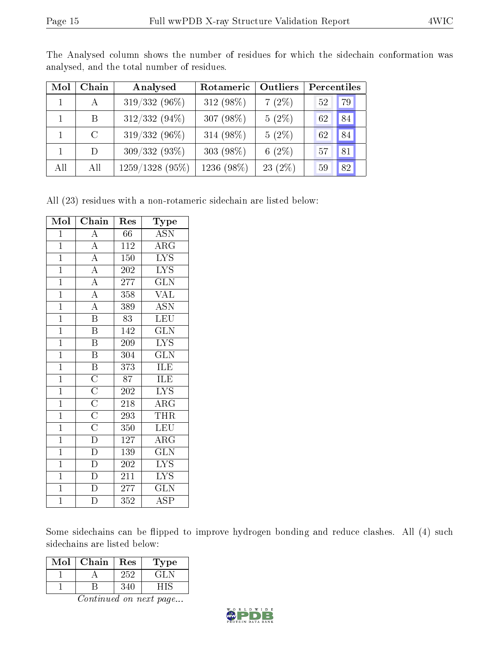| Mol | Chain         | Analysed        | Rotameric  | Outliers  | Percentiles |
|-----|---------------|-----------------|------------|-----------|-------------|
|     | A             | 319/332 (96%)   | 312 (98%)  | $7(2\%)$  | 52<br>79    |
|     | B             | $312/332(94\%)$ | 307 (98%)  | $5(2\%)$  | 84<br>62    |
|     | $\mathcal{C}$ | 319/332 (96%)   | 314 (98%)  | $5(2\%)$  | 84<br>62    |
|     | D             | 309/332 (93%)   | 303 (98%)  | 6(2%)     | 81<br>57    |
| All | All           | 1259/1328 (95%) | 1236 (98%) | $23(2\%)$ | 82<br>59    |

The Analysed column shows the number of residues for which the sidechain conformation was analysed, and the total number of residues.

All (23) residues with a non-rotameric sidechain are listed below:

| Mol            | Chain                                                                                                       | Res              | <b>Type</b>             |
|----------------|-------------------------------------------------------------------------------------------------------------|------------------|-------------------------|
| $\mathbf{1}$   | $\boldsymbol{A}$                                                                                            | 66               | <b>ASN</b>              |
| $\overline{1}$ |                                                                                                             | $\overline{112}$ | $\rm{ARG}$              |
| $\mathbf{1}$   | $\frac{\overline{A}}{\overline{A}}$                                                                         | 150              | $\overline{\text{LYS}}$ |
| $\overline{1}$ | $\overline{A}$                                                                                              | 202              | $\overline{\text{LYS}}$ |
| $\overline{1}$ | $\frac{\overline{A}}{\overline{A}}$                                                                         | 277              | <b>GLN</b>              |
| $\overline{1}$ |                                                                                                             | 358              | $\rm V\overline{AL}$    |
| $\mathbf{1}$   | $\overline{A}$                                                                                              | 389              | <b>ASN</b>              |
| $\mathbf{1}$   | $\overline{\mathrm{B}}$                                                                                     | 83               | $\overline{\text{LEU}}$ |
| $\mathbf{1}$   | $\overline{\mathrm{B}}$                                                                                     | 142              | $\overline{\text{GLN}}$ |
| $\overline{1}$ | $\overline{\mathrm{B}}$                                                                                     | 209              | $\overline{\text{LYS}}$ |
| $\mathbf{1}$   | $\overline{\mathrm{B}}$                                                                                     | 304              | $\overline{\text{GLN}}$ |
| $\mathbf{1}$   | $\overline{B}$                                                                                              | $\overline{373}$ | ILE                     |
| $\overline{1}$ | $\frac{\overline{C}}{\overline{C}}$ $\frac{\overline{C}}{\overline{C}}$ $\frac{\overline{C}}{\overline{D}}$ | 87               | ILE                     |
| $\overline{1}$ |                                                                                                             | 202              | $\overline{\text{LYS}}$ |
| $\mathbf{1}$   |                                                                                                             | 218              | $\rm{ARG}$              |
| $\mathbf{1}$   |                                                                                                             | 293              | THR                     |
| $\mathbf{1}$   |                                                                                                             | 350              | <b>LEU</b>              |
| $\overline{1}$ |                                                                                                             | 127              | $\overline{\rm ARG}$    |
| $\mathbf{1}$   | $\overline{D}$                                                                                              | 139              | $\overline{\text{GLN}}$ |
| $\mathbf{1}$   | $\overline{D}$                                                                                              | 202              | <b>LYS</b>              |
| $\overline{1}$ | $\overline{D}$                                                                                              | 211              | $\overline{\text{LYS}}$ |
| $\mathbf{1}$   | $\overline{\mathrm{D}}$                                                                                     | 277              | <b>GLN</b>              |
| $\mathbf{1}$   | $\overline{\rm D}$                                                                                          | $\overline{3}52$ | $\overline{\text{ASP}}$ |

Some sidechains can be flipped to improve hydrogen bonding and reduce clashes. All (4) such sidechains are listed below:

| Mol | Chain | Res | l'ype |
|-----|-------|-----|-------|
|     |       | 252 |       |
|     |       |     |       |

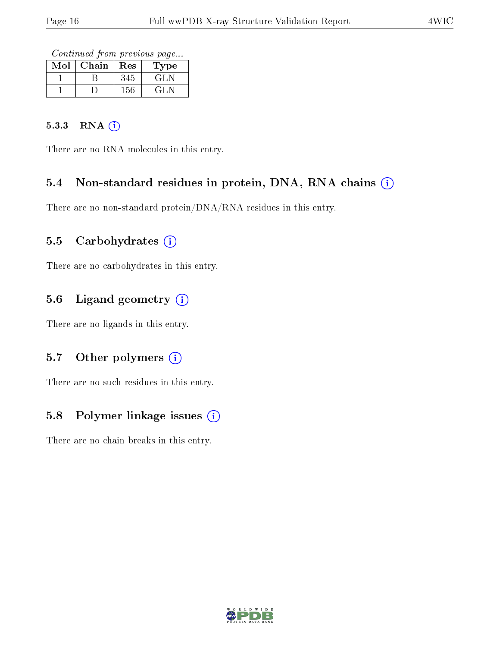Continued from previous page...

| $\operatorname{Mol}$ | Chain | Res     | l'ype |
|----------------------|-------|---------|-------|
|                      |       | 345     | ا طخ) |
|                      |       | $156\,$ | en    |

#### 5.3.3 RNA (i)

There are no RNA molecules in this entry.

### 5.4 Non-standard residues in protein, DNA, RNA chains (i)

There are no non-standard protein/DNA/RNA residues in this entry.

### 5.5 Carbohydrates  $(i)$

There are no carbohydrates in this entry.

### 5.6 Ligand geometry (i)

There are no ligands in this entry.

### 5.7 [O](https://www.wwpdb.org/validation/2017/XrayValidationReportHelp#nonstandard_residues_and_ligands)ther polymers (i)

There are no such residues in this entry.

## 5.8 Polymer linkage issues (i)

There are no chain breaks in this entry.

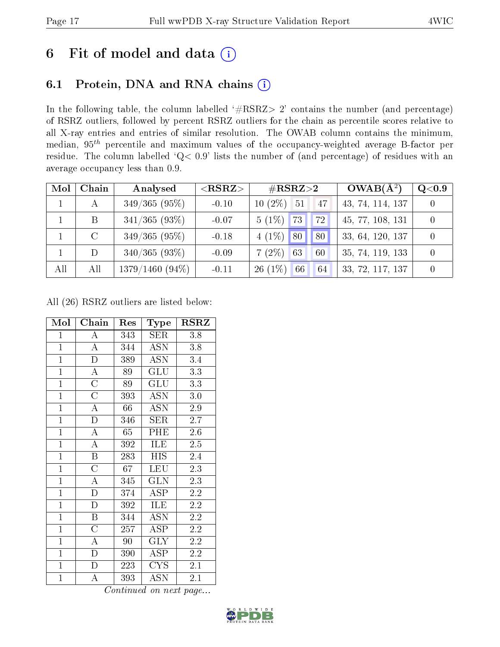# 6 Fit of model and data  $(i)$

# 6.1 Protein, DNA and RNA chains  $(i)$

In the following table, the column labelled  $#RSRZ> 2'$  contains the number (and percentage) of RSRZ outliers, followed by percent RSRZ outliers for the chain as percentile scores relative to all X-ray entries and entries of similar resolution. The OWAB column contains the minimum, median,  $95<sup>th</sup>$  percentile and maximum values of the occupancy-weighted average B-factor per residue. The column labelled ' $Q< 0.9$ ' lists the number of (and percentage) of residues with an average occupancy less than 0.9.

| Mol | Chain   | Analysed          | $<$ RSRZ $>$ | $\#\text{RSRZ}{>}2$            | $OWAB(A^2)$      | Q <sub>0.9</sub> |
|-----|---------|-------------------|--------------|--------------------------------|------------------|------------------|
|     | А       | $349/365(95\%)$   | $-0.10$      | $10(2\%)$ 51<br>47             | 43, 74, 114, 137 |                  |
|     | B       | $341/365(93\%)$   | $-0.07$      | $5(1\%)$<br>72<br>$\sqrt{73}$  | 45, 77, 108, 131 |                  |
|     | $\rm C$ | $349/365(95\%)$   | $-0.18$      | $4(1\%)$<br>80<br>$^{\circ}80$ | 33, 64, 120, 137 |                  |
|     | D       | $340/365(93\%)$   | $-0.09$      | $7(2\%)$<br>63<br>60           | 35, 74, 119, 133 |                  |
| All | All     | $1379/1460(94\%)$ | $-0.11$      | $26(1\%)$<br>66<br>64          | 33, 72, 117, 137 |                  |

All (26) RSRZ outliers are listed below:

| Mol            | Chain                   | Res | Type                 | $_{\rm RSRZ}$    |
|----------------|-------------------------|-----|----------------------|------------------|
| $\mathbf{1}$   | A                       | 343 | $\rm{SER}$           | 3.8              |
| $\mathbf{1}$   | $\overline{\rm A}$      | 344 | ASN                  | 3.8              |
| $\mathbf{1}$   | $\overline{\mathrm{D}}$ | 389 | <b>ASN</b>           | 3.4              |
| $\mathbf{1}$   | $\overline{\rm A}$      | 89  | GLU                  | 3.3              |
| $\overline{1}$ | $\overline{\rm C}$      | 89  | GLU                  | 3.3              |
| $\overline{1}$ | $\overline{\rm C}$      | 393 | <b>ASN</b>           | $3.0\,$          |
| $\mathbf{1}$   | $\overline{\rm A}$      | 66  | <b>ASN</b>           | 2.9              |
| $\mathbf{1}$   | $\mathbf D$             | 346 | ${\rm SER}$          | 2.7              |
| $\overline{1}$ | $\overline{\rm A}$      | 65  | PHE                  | 2.6              |
| $\overline{1}$ | $\overline{A}$          | 392 | ILE                  | $2.5\,$          |
| $\overline{1}$ | B                       | 283 | HIS                  | 2.4              |
| $\overline{1}$ | $\overline{\rm C}$      | 67  | LEU                  | $2.\overline{3}$ |
| $\mathbf{1}$   | $\overline{\rm A}$      | 345 | <b>GLN</b>           | 2.3              |
| $\mathbf{1}$   | $\overline{\mathrm{D}}$ | 374 | ASP                  | $2.2\,$          |
| $\overline{1}$ | $\overline{\rm D}$      | 392 | ILE                  | 2.2              |
| $\overline{1}$ | $\overline{\mathrm{B}}$ | 344 | <b>ASN</b>           | 2.2              |
| $\overline{1}$ | $\overline{\rm C}$      | 257 | ASP                  | $2.\overline{2}$ |
| $\mathbf{1}$   | A                       | 90  | <b>GLY</b>           | 2.2              |
| $\overline{1}$ | $\overline{D}$          | 390 | ASP                  | 2.2              |
| $\mathbf{1}$   | $\mathbf D$             | 223 | <b>CYS</b>           | 2.1              |
| $\mathbf{1}$   | A                       | 393 | $\operatorname{ASN}$ | 2.1              |